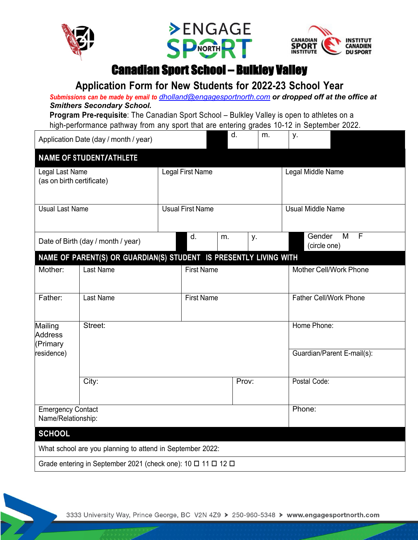





#### Canadian Sport School – Bulkley Valley

#### **Application Form for New Students for 2022-23 School Year**

*Submissions can be made by email to dholland@engagesportnorth.com or dropped off at the office at Smithers Secondary School.*

**Program Pre-requisite**: The Canadian Sport School – Bulkley Valley is open to athletes on a high-performance pathway from any sport that are entering grades 10-12 in September 2022.

| Application Date (day / month / year)            |                                                                   |                         |    |                            | d. | m.                            | у.                       |                        |  |
|--------------------------------------------------|-------------------------------------------------------------------|-------------------------|----|----------------------------|----|-------------------------------|--------------------------|------------------------|--|
|                                                  | <b>NAME OF STUDENT/ATHLETE</b>                                    |                         |    |                            |    |                               |                          |                        |  |
| Legal Last Name<br>(as on birth certificate)     |                                                                   | Legal First Name        |    |                            |    |                               | Legal Middle Name        |                        |  |
| <b>Usual Last Name</b>                           |                                                                   | <b>Usual First Name</b> |    |                            |    |                               | <b>Usual Middle Name</b> |                        |  |
| Date of Birth (day / month / year)               |                                                                   |                         | d. | m.                         |    | у.                            | Gender                   | F<br>M<br>(circle one) |  |
|                                                  | NAME OF PARENT(S) OR GUARDIAN(S) STUDENT IS PRESENTLY LIVING WITH |                         |    |                            |    |                               |                          |                        |  |
| Mother:                                          | Last Name<br><b>First Name</b>                                    |                         |    |                            |    | <b>Mother Cell/Work Phone</b> |                          |                        |  |
| Father:                                          | Last Name                                                         | <b>First Name</b>       |    |                            |    | <b>Father Cell/Work Phone</b> |                          |                        |  |
| Street:<br>Mailing<br><b>Address</b><br>(Primary |                                                                   |                         |    |                            |    |                               | Home Phone:              |                        |  |
| residence)                                       |                                                                   |                         |    | Guardian/Parent E-mail(s): |    |                               |                          |                        |  |
|                                                  | City:                                                             |                         |    | Prov:                      |    | Postal Code:                  |                          |                        |  |
| <b>Emergency Contact</b><br>Name/Relationship:   |                                                                   |                         |    |                            |    |                               | Phone:                   |                        |  |
| <b>SCHOOL</b>                                    |                                                                   |                         |    |                            |    |                               |                          |                        |  |
|                                                  | What school are you planning to attend in September 2022:         |                         |    |                            |    |                               |                          |                        |  |
|                                                  | Grade entering in September 2021 (check one): 10 □ 11 □ 12 □      |                         |    |                            |    |                               |                          |                        |  |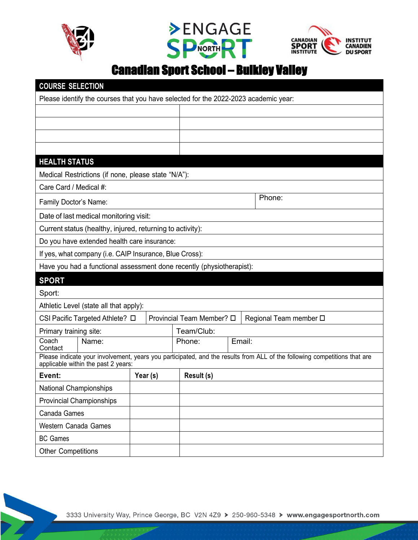

 $\sum_{i=1}^{n}$ 





### Canadian Sport School – Bulkley Valley

| <b>COURSE SELECTION</b>                                                                                                                                          |                                        |  |  |                                                     |            |  |        |  |  |
|------------------------------------------------------------------------------------------------------------------------------------------------------------------|----------------------------------------|--|--|-----------------------------------------------------|------------|--|--------|--|--|
| Please identify the courses that you have selected for the 2022-2023 academic year:                                                                              |                                        |  |  |                                                     |            |  |        |  |  |
|                                                                                                                                                                  |                                        |  |  |                                                     |            |  |        |  |  |
|                                                                                                                                                                  |                                        |  |  |                                                     |            |  |        |  |  |
|                                                                                                                                                                  |                                        |  |  |                                                     |            |  |        |  |  |
|                                                                                                                                                                  |                                        |  |  |                                                     |            |  |        |  |  |
| <b>HEALTH STATUS</b>                                                                                                                                             |                                        |  |  |                                                     |            |  |        |  |  |
| Medical Restrictions (if none, please state "N/A"):                                                                                                              |                                        |  |  |                                                     |            |  |        |  |  |
| Care Card / Medical #:                                                                                                                                           |                                        |  |  |                                                     |            |  |        |  |  |
| Family Doctor's Name:                                                                                                                                            |                                        |  |  |                                                     |            |  | Phone: |  |  |
|                                                                                                                                                                  | Date of last medical monitoring visit: |  |  |                                                     |            |  |        |  |  |
| Current status (healthy, injured, returning to activity):                                                                                                        |                                        |  |  |                                                     |            |  |        |  |  |
| Do you have extended health care insurance:                                                                                                                      |                                        |  |  |                                                     |            |  |        |  |  |
| If yes, what company (i.e. CAIP Insurance, Blue Cross):                                                                                                          |                                        |  |  |                                                     |            |  |        |  |  |
| Have you had a functional assessment done recently (physiotherapist):                                                                                            |                                        |  |  |                                                     |            |  |        |  |  |
| <b>SPORT</b>                                                                                                                                                     |                                        |  |  |                                                     |            |  |        |  |  |
| Sport:                                                                                                                                                           |                                        |  |  |                                                     |            |  |        |  |  |
| Athletic Level (state all that apply):                                                                                                                           |                                        |  |  |                                                     |            |  |        |  |  |
| CSI Pacific Targeted Athlete? □                                                                                                                                  |                                        |  |  | Provincial Team Member? □<br>Regional Team member □ |            |  |        |  |  |
| Primary training site:                                                                                                                                           |                                        |  |  |                                                     | Team/Club: |  |        |  |  |
| Coach<br>Contact                                                                                                                                                 | Name:                                  |  |  |                                                     | Phone:     |  | Email: |  |  |
| Please indicate your involvement, years you participated, and the results from ALL of the following competitions that are<br>applicable within the past 2 years: |                                        |  |  |                                                     |            |  |        |  |  |
| Event:<br>Year (s)                                                                                                                                               |                                        |  |  | Result (s)                                          |            |  |        |  |  |
| National Championships                                                                                                                                           |                                        |  |  |                                                     |            |  |        |  |  |
| <b>Provincial Championships</b>                                                                                                                                  |                                        |  |  |                                                     |            |  |        |  |  |
| Canada Games                                                                                                                                                     |                                        |  |  |                                                     |            |  |        |  |  |
| Western Canada Games                                                                                                                                             |                                        |  |  |                                                     |            |  |        |  |  |
| <b>BC Games</b>                                                                                                                                                  |                                        |  |  |                                                     |            |  |        |  |  |
| <b>Other Competitions</b>                                                                                                                                        |                                        |  |  |                                                     |            |  |        |  |  |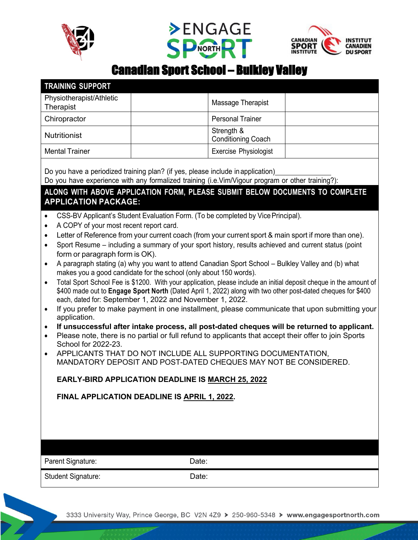





## Canadian Sport School – Bulkley Valley

| <b>TRAINING SUPPORT</b>                                                                                                                                                                                                                                                                                                                                                                                                                                                                                                                                                                                                                                                                                                                                                                                                                                                                                                                                                                                                                                                                                                                                                                                                   |                                              |  |  |  |  |  |  |
|---------------------------------------------------------------------------------------------------------------------------------------------------------------------------------------------------------------------------------------------------------------------------------------------------------------------------------------------------------------------------------------------------------------------------------------------------------------------------------------------------------------------------------------------------------------------------------------------------------------------------------------------------------------------------------------------------------------------------------------------------------------------------------------------------------------------------------------------------------------------------------------------------------------------------------------------------------------------------------------------------------------------------------------------------------------------------------------------------------------------------------------------------------------------------------------------------------------------------|----------------------------------------------|--|--|--|--|--|--|
| Physiotherapist/Athletic<br>Therapist                                                                                                                                                                                                                                                                                                                                                                                                                                                                                                                                                                                                                                                                                                                                                                                                                                                                                                                                                                                                                                                                                                                                                                                     | Massage Therapist                            |  |  |  |  |  |  |
| Chiropractor                                                                                                                                                                                                                                                                                                                                                                                                                                                                                                                                                                                                                                                                                                                                                                                                                                                                                                                                                                                                                                                                                                                                                                                                              | <b>Personal Trainer</b>                      |  |  |  |  |  |  |
| <b>Nutritionist</b>                                                                                                                                                                                                                                                                                                                                                                                                                                                                                                                                                                                                                                                                                                                                                                                                                                                                                                                                                                                                                                                                                                                                                                                                       | Strength &<br><b>Conditioning Coach</b>      |  |  |  |  |  |  |
| <b>Mental Trainer</b>                                                                                                                                                                                                                                                                                                                                                                                                                                                                                                                                                                                                                                                                                                                                                                                                                                                                                                                                                                                                                                                                                                                                                                                                     | Exercise Physiologist                        |  |  |  |  |  |  |
| Do you have a periodized training plan? (if yes, please include in application)<br>Do you have experience with any formalized training (i.e.Vim/Vigour program or other training?):<br>ALONG WITH ABOVE APPLICATION FORM, PLEASE SUBMIT BELOW DOCUMENTS TO COMPLETE<br><b>APPLICATION PACKAGE:</b><br>CSS-BV Applicant's Student Evaluation Form. (To be completed by Vice Principal).<br>A COPY of your most recent report card.<br>٠<br>Letter of Reference from your current coach (from your current sport & main sport if more than one).<br>$\bullet$<br>Sport Resume – including a summary of your sport history, results achieved and current status (point<br>$\bullet$<br>form or paragraph form is OK).<br>A paragraph stating (a) why you want to attend Canadian Sport School - Bulkley Valley and (b) what<br>$\bullet$<br>makes you a good candidate for the school (only about 150 words).<br>Total Sport School Fee is \$1200. With your application, please include an initial deposit cheque in the amount of<br>$\bullet$<br>\$400 made out to Engage Sport North (Dated April 1, 2022) along with two other post-dated cheques for \$400<br>each, dated for: September 1, 2022 and November 1, 2022. |                                              |  |  |  |  |  |  |
| If you prefer to make payment in one installment, please communicate that upon submitting your<br>$\bullet$<br>application.<br>If unsuccessful after intake process, all post-dated cheques will be returned to applicant.<br>٠<br>Please note, there is no partial or full refund to applicants that accept their offer to join Sports<br>$\bullet$<br>School for 2022-23.<br>APPLICANTS THAT DO NOT INCLUDE ALL SUPPORTING DOCUMENTATION.<br>$\bullet$                                                                                                                                                                                                                                                                                                                                                                                                                                                                                                                                                                                                                                                                                                                                                                  |                                              |  |  |  |  |  |  |
| MANDATORY DEPOSIT AND POST-DATED CHEQUES MAY NOT BE CONSIDERED.                                                                                                                                                                                                                                                                                                                                                                                                                                                                                                                                                                                                                                                                                                                                                                                                                                                                                                                                                                                                                                                                                                                                                           |                                              |  |  |  |  |  |  |
| <b>EARLY-BIRD APPLICATION DEADLINE IS MARCH 25, 2022</b>                                                                                                                                                                                                                                                                                                                                                                                                                                                                                                                                                                                                                                                                                                                                                                                                                                                                                                                                                                                                                                                                                                                                                                  |                                              |  |  |  |  |  |  |
|                                                                                                                                                                                                                                                                                                                                                                                                                                                                                                                                                                                                                                                                                                                                                                                                                                                                                                                                                                                                                                                                                                                                                                                                                           | FINAL APPLICATION DEADLINE IS APRIL 1, 2022. |  |  |  |  |  |  |
|                                                                                                                                                                                                                                                                                                                                                                                                                                                                                                                                                                                                                                                                                                                                                                                                                                                                                                                                                                                                                                                                                                                                                                                                                           |                                              |  |  |  |  |  |  |
| Parent Signature:                                                                                                                                                                                                                                                                                                                                                                                                                                                                                                                                                                                                                                                                                                                                                                                                                                                                                                                                                                                                                                                                                                                                                                                                         | Date:                                        |  |  |  |  |  |  |
| <b>Student Signature:</b><br>Date:                                                                                                                                                                                                                                                                                                                                                                                                                                                                                                                                                                                                                                                                                                                                                                                                                                                                                                                                                                                                                                                                                                                                                                                        |                                              |  |  |  |  |  |  |

3333 University Way, Prince George, BC V2N 4Z9 > 250-960-5348 > www.engagesportnorth.com